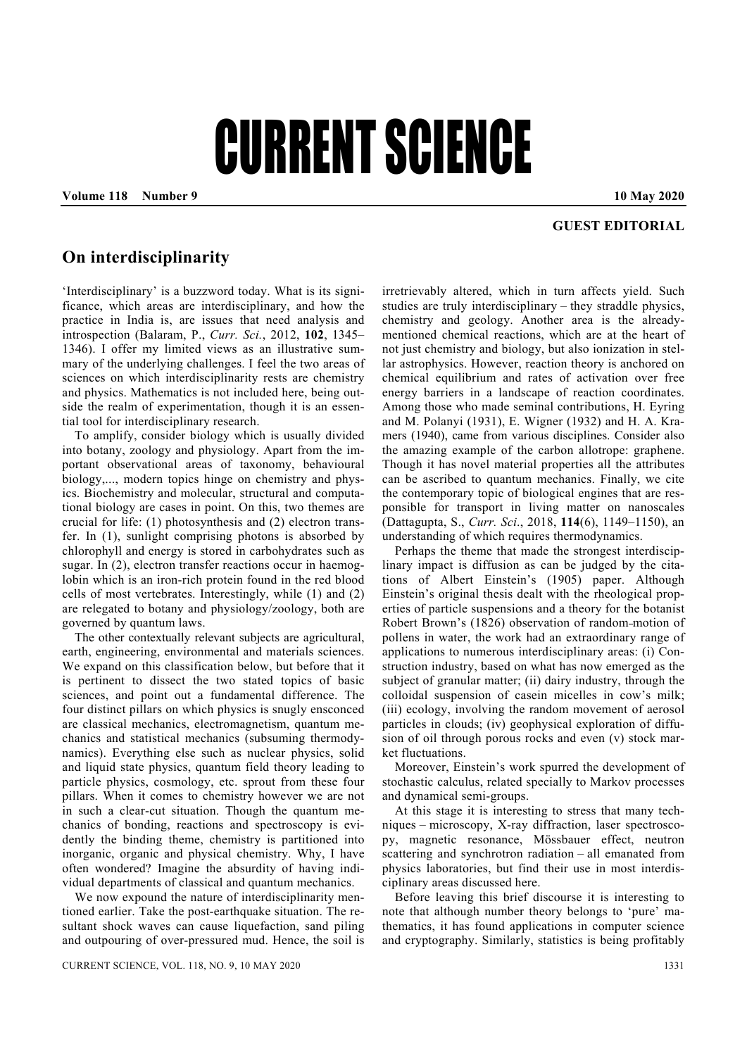## CURRENT SCIENCE

**Volume 118 Number 9 10 May 2020** 

## **GUEST EDITORIAL**

## **On interdisciplinarity**

'Interdisciplinary' is a buzzword today. What is its significance, which areas are interdisciplinary, and how the practice in India is, are issues that need analysis and introspection (Balaram, P., *Curr. Sci.*, 2012, **102**, 1345– 1346). I offer my limited views as an illustrative summary of the underlying challenges. I feel the two areas of sciences on which interdisciplinarity rests are chemistry and physics. Mathematics is not included here, being outside the realm of experimentation, though it is an essential tool for interdisciplinary research.

 To amplify, consider biology which is usually divided into botany, zoology and physiology. Apart from the important observational areas of taxonomy, behavioural biology,..., modern topics hinge on chemistry and physics. Biochemistry and molecular, structural and computational biology are cases in point. On this, two themes are crucial for life: (1) photosynthesis and (2) electron transfer. In (1), sunlight comprising photons is absorbed by chlorophyll and energy is stored in carbohydrates such as sugar. In (2), electron transfer reactions occur in haemoglobin which is an iron-rich protein found in the red blood cells of most vertebrates. Interestingly, while (1) and (2) are relegated to botany and physiology/zoology, both are governed by quantum laws.

 The other contextually relevant subjects are agricultural, earth, engineering, environmental and materials sciences. We expand on this classification below, but before that it is pertinent to dissect the two stated topics of basic sciences, and point out a fundamental difference. The four distinct pillars on which physics is snugly ensconced are classical mechanics, electromagnetism, quantum mechanics and statistical mechanics (subsuming thermodynamics). Everything else such as nuclear physics, solid and liquid state physics, quantum field theory leading to particle physics, cosmology, etc. sprout from these four pillars. When it comes to chemistry however we are not in such a clear-cut situation. Though the quantum mechanics of bonding, reactions and spectroscopy is evidently the binding theme, chemistry is partitioned into inorganic, organic and physical chemistry. Why, I have often wondered? Imagine the absurdity of having individual departments of classical and quantum mechanics.

 We now expound the nature of interdisciplinarity mentioned earlier. Take the post-earthquake situation. The resultant shock waves can cause liquefaction, sand piling and outpouring of over-pressured mud. Hence, the soil is irretrievably altered, which in turn affects yield. Such studies are truly interdisciplinary – they straddle physics, chemistry and geology. Another area is the alreadymentioned chemical reactions, which are at the heart of not just chemistry and biology, but also ionization in stellar astrophysics. However, reaction theory is anchored on chemical equilibrium and rates of activation over free energy barriers in a landscape of reaction coordinates. Among those who made seminal contributions, H. Eyring and M. Polanyi (1931), E. Wigner (1932) and H. A. Kramers (1940), came from various disciplines. Consider also the amazing example of the carbon allotrope: graphene. Though it has novel material properties all the attributes can be ascribed to quantum mechanics. Finally, we cite the contemporary topic of biological engines that are responsible for transport in living matter on nanoscales (Dattagupta, S., *Curr. Sci*., 2018, **114**(6), 1149–1150), an understanding of which requires thermodynamics.

 Perhaps the theme that made the strongest interdisciplinary impact is diffusion as can be judged by the citations of Albert Einstein's (1905) paper. Although Einstein's original thesis dealt with the rheological properties of particle suspensions and a theory for the botanist Robert Brown's (1826) observation of random motion of pollens in water, the work had an extraordinary range of applications to numerous interdisciplinary areas: (i) Construction industry, based on what has now emerged as the subject of granular matter; (ii) dairy industry, through the colloidal suspension of casein micelles in cow's milk; (iii) ecology, involving the random movement of aerosol particles in clouds; (iv) geophysical exploration of diffusion of oil through porous rocks and even (v) stock market fluctuations.

 Moreover, Einstein's work spurred the development of stochastic calculus, related specially to Markov processes and dynamical semi-groups.

 At this stage it is interesting to stress that many techniques – microscopy, X-ray diffraction, laser spectroscopy, magnetic resonance, Mössbauer effect, neutron scattering and synchrotron radiation – all emanated from physics laboratories, but find their use in most interdisciplinary areas discussed here.

 Before leaving this brief discourse it is interesting to note that although number theory belongs to 'pure' mathematics, it has found applications in computer science and cryptography. Similarly, statistics is being profitably